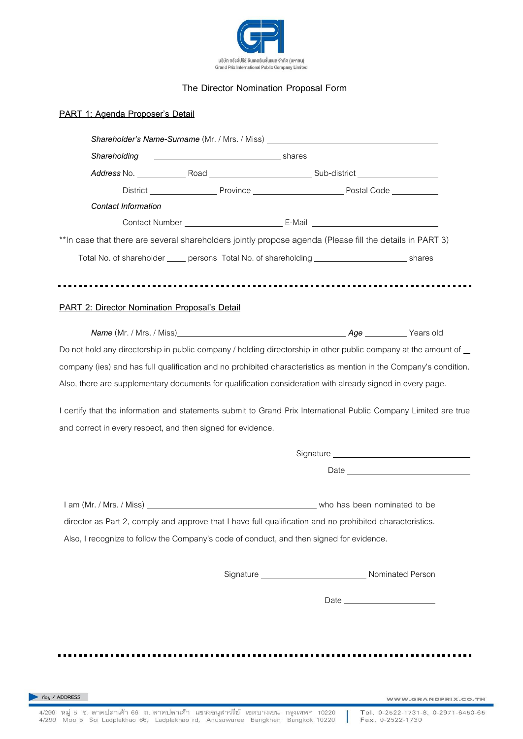

## **The Director Nomination Proposal Form**

|                                               | Shareholder's Name-Surname (Mr. / Mrs. / Miss) _________________________________                                                                                                                                                |                                 |      |
|-----------------------------------------------|---------------------------------------------------------------------------------------------------------------------------------------------------------------------------------------------------------------------------------|---------------------------------|------|
| Shareholding                                  | <u>in the contract of the contract of the shares</u>                                                                                                                                                                            |                                 |      |
|                                               |                                                                                                                                                                                                                                 |                                 |      |
|                                               |                                                                                                                                                                                                                                 |                                 |      |
| <b>Contact Information</b>                    |                                                                                                                                                                                                                                 |                                 |      |
|                                               |                                                                                                                                                                                                                                 |                                 |      |
|                                               | ** In case that there are several shareholders jointly propose agenda (Please fill the details in PART 3)                                                                                                                       |                                 |      |
|                                               | Total No. of shareholder _____ persons Total No. of shareholding _______________________ shares                                                                                                                                 |                                 |      |
|                                               |                                                                                                                                                                                                                                 |                                 |      |
| PART 2: Director Nomination Proposal's Detail |                                                                                                                                                                                                                                 |                                 |      |
|                                               |                                                                                                                                                                                                                                 |                                 |      |
|                                               |                                                                                                                                                                                                                                 |                                 |      |
|                                               | Do not hold any directorship in public company / holding directorship in other public company at the amount of _                                                                                                                |                                 |      |
|                                               | company (ies) and has full qualification and no prohibited characteristics as mention in the Company's condition.<br>Also, there are supplementary documents for qualification consideration with already signed in every page. |                                 |      |
|                                               | I certify that the information and statements submit to Grand Prix International Public Company Limited are true<br>and correct in every respect, and then signed for evidence.                                                 |                                 |      |
|                                               |                                                                                                                                                                                                                                 |                                 |      |
|                                               |                                                                                                                                                                                                                                 |                                 | Date |
|                                               |                                                                                                                                                                                                                                 |                                 |      |
|                                               | director as Part 2, comply and approve that I have full qualification and no prohibited characteristics.                                                                                                                        |                                 |      |
|                                               | Also, I recognize to follow the Company's code of conduct, and then signed for evidence.                                                                                                                                        |                                 |      |
|                                               |                                                                                                                                                                                                                                 |                                 |      |
|                                               |                                                                                                                                                                                                                                 | Date __________________________ |      |

Tel. 0-2522-1731-8, 0-2971-6450-65 Fax. 0-2522-1730

ı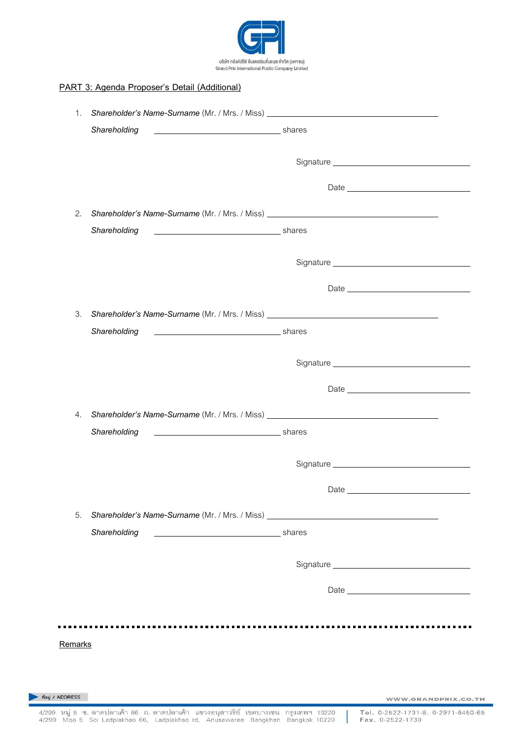

## **PART 3: Agenda Proposer's Detail (Additional)**

|                   | 1. Shareholder's Name-Surname (Mr. / Mrs. / Miss) ______________________________ |                     |
|-------------------|----------------------------------------------------------------------------------|---------------------|
|                   | Shareholding<br>shares stream and the shares shares                              |                     |
|                   |                                                                                  |                     |
|                   |                                                                                  |                     |
| 2.                | Shareholder's Name-Surname (Mr. / Mrs. / Miss) _________________________________ |                     |
|                   | Shareholding<br>shares stream and the stream of the shares                       |                     |
|                   |                                                                                  |                     |
|                   |                                                                                  |                     |
| 3.                | Shareholder's Name-Surname (Mr. / Mrs. / Miss) _________________________________ |                     |
|                   | shares stream and the stream of the shares<br>Shareholding                       |                     |
|                   |                                                                                  |                     |
|                   |                                                                                  |                     |
| 4.                | Shareholder's Name-Surname (Mr. / Mrs. / Miss) _________________________________ |                     |
|                   | Shareholding<br>shares stream and the stream of the shares                       |                     |
|                   |                                                                                  |                     |
|                   |                                                                                  |                     |
| 5.                | Shareholder's Name-Surname (Mr. / Mrs. / Miss) _________________________________ |                     |
|                   | Shareholding                                                                     |                     |
|                   |                                                                                  |                     |
|                   |                                                                                  |                     |
|                   |                                                                                  |                     |
| Remarks           |                                                                                  |                     |
|                   |                                                                                  |                     |
| ที่อยู่ / ADDRESS |                                                                                  |                     |
|                   |                                                                                  | WWW.GRANDPRIX.CO.TH |